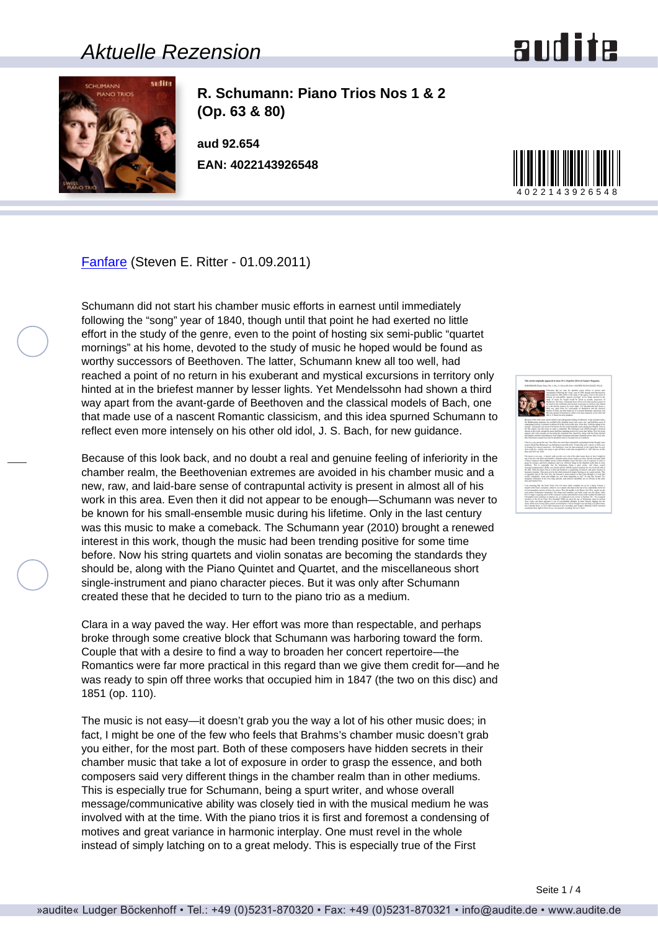#### Aktuelle Rezension





**R. Schumann: Piano Trios Nos 1 & 2 (Op. 63 & 80)**

**aud 92.654 EAN: 4022143926548**



[Fanfare](http://www.fanfaremag.com/) (Steven E. Ritter - 01.09.2011)

Schumann did not start his chamber music efforts in earnest until immediately following the "song" year of 1840, though until that point he had exerted no little effort in the study of the genre, even to the point of hosting six semi-public "quartet mornings" at his home, devoted to the study of music he hoped would be found as worthy successors of Beethoven. The latter, Schumann knew all too well, had reached a point of no return in his exuberant and mystical excursions in territory only hinted at in the briefest manner by lesser lights. Yet Mendelssohn had shown a third way apart from the avant-garde of Beethoven and the classical models of Bach, one that made use of a nascent Romantic classicism, and this idea spurned Schumann to reflect even more intensely on his other old idol, J. S. Bach, for new guidance.

Because of this look back, and no doubt a real and genuine feeling of inferiority in the chamber realm, the Beethovenian extremes are avoided in his chamber music and a new, raw, and laid-bare sense of contrapuntal activity is present in almost all of his work in this area. Even then it did not appear to be enough—Schumann was never to be known for his small-ensemble music during his lifetime. Only in the last century was this music to make a comeback. The Schumann year (2010) brought a renewed interest in this work, though the music had been trending positive for some time before. Now his string quartets and violin sonatas are becoming the standards they should be, along with the Piano Quintet and Quartet, and the miscellaneous short single-instrument and piano character pieces. But it was only after Schumann created these that he decided to turn to the piano trio as a medium.

Clara in a way paved the way. Her effort was more than respectable, and perhaps broke through some creative block that Schumann was harboring toward the form. Couple that with a desire to find a way to broaden her concert repertoire—the Romantics were far more practical in this regard than we give them credit for—and he was ready to spin off three works that occupied him in 1847 (the two on this disc) and 1851 (op. 110).

The music is not easy—it doesn't grab you the way a lot of his other music does; in fact, I might be one of the few who feels that Brahms's chamber music doesn't grab you either, for the most part. Both of these composers have hidden secrets in their chamber music that take a lot of exposure in order to grasp the essence, and both composers said very different things in the chamber realm than in other mediums. This is especially true for Schumann, being a spurt writer, and whose overall message/communicative ability was closely tied in with the musical medium he was involved with at the time. With the piano trios it is first and foremost a condensing of motives and great variance in harmonic interplay. One must revel in the whole instead of simply latching on to a great melody. This is especially true of the First

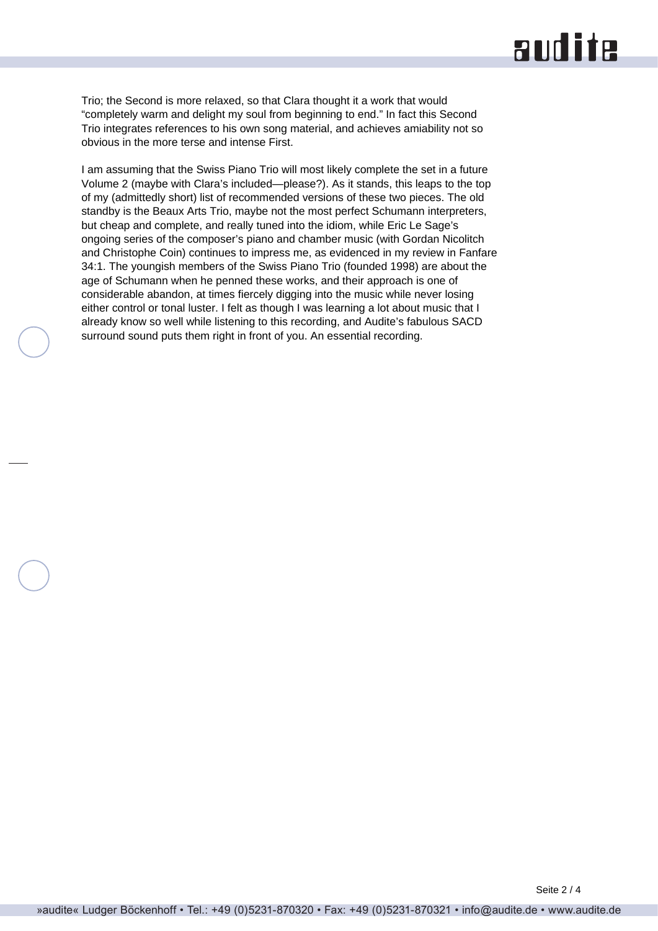### audite

Trio; the Second is more relaxed, so that Clara thought it a work that would "completely warm and delight my soul from beginning to end." In fact this Second Trio integrates references to his own song material, and achieves amiability not so obvious in the more terse and intense First.

I am assuming that the Swiss Piano Trio will most likely complete the set in a future Volume 2 (maybe with Clara's included—please?). As it stands, this leaps to the top of my (admittedly short) list of recommended versions of these two pieces. The old standby is the Beaux Arts Trio, maybe not the most perfect Schumann interpreters, but cheap and complete, and really tuned into the idiom, while Eric Le Sage's ongoing series of the composer's piano and chamber music (with Gordan Nicolitch and Christophe Coin) continues to impress me, as evidenced in my review in Fanfare 34:1. The youngish members of the Swiss Piano Trio (founded 1998) are about the age of Schumann when he penned these works, and their approach is one of considerable abandon, at times fiercely digging into the music while never losing either control or tonal luster. I felt as though I was learning a lot about music that I already know so well while listening to this recording, and Audite's fabulous SACD surround sound puts them right in front of you. An essential recording.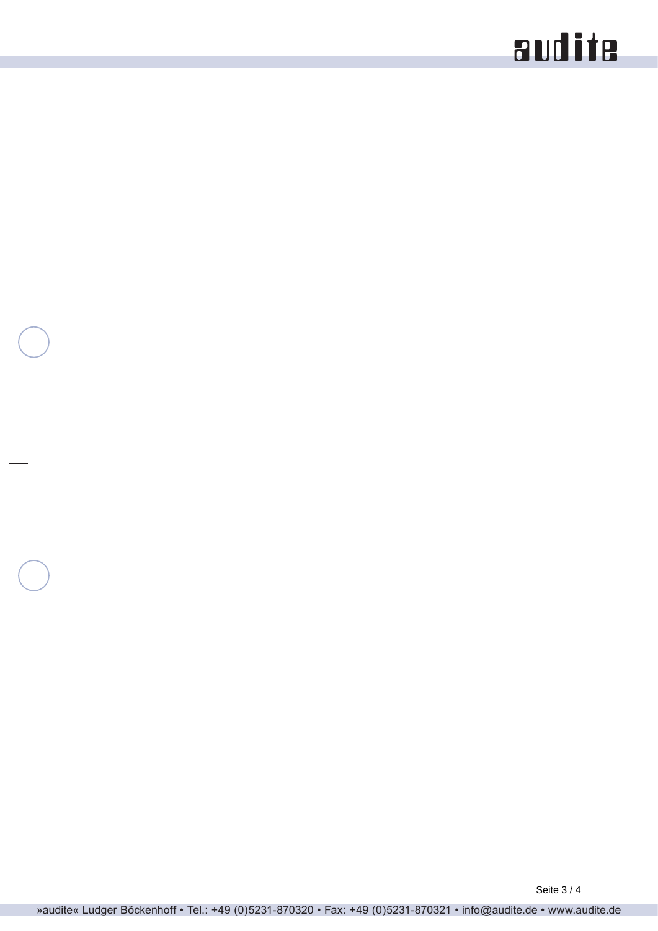# audite

Seite 3 / 4